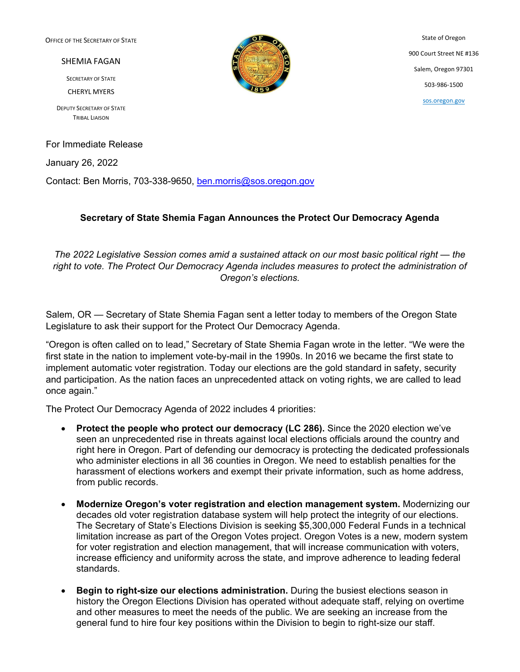OFFICE OF THE SECRETARY OF STATE

SHEMIA FAGAN

SECRETARY OF STATE

CHERYL MYERS

DEPUTY SECRETARY OF STATE TRIBAL LIAISON

For Immediate Release

January 26, 2022

Contact: Ben Morris, 703-338-9650, [ben.morris@sos.oregon.gov](mailto:ben.morris@sos.oregon.gov)

## **Secretary of State Shemia Fagan Announces the Protect Our Democracy Agenda**

*The 2022 Legislative Session comes amid a sustained attack on our most basic political right — the right to vote. The Protect Our Democracy Agenda includes measures to protect the administration of Oregon's elections.*

Salem, OR — Secretary of State Shemia Fagan sent a letter today to members of the Oregon State Legislature to ask their support for the Protect Our Democracy Agenda.

"Oregon is often called on to lead," Secretary of State Shemia Fagan wrote in the letter. "We were the first state in the nation to implement vote-by-mail in the 1990s. In 2016 we became the first state to implement automatic voter registration. Today our elections are the gold standard in safety, security and participation. As the nation faces an unprecedented attack on voting rights, we are called to lead once again."

The Protect Our Democracy Agenda of 2022 includes 4 priorities:

- **Protect the people who protect our democracy (LC 286).** Since the 2020 election we've seen an unprecedented rise in threats against local elections officials around the country and right here in Oregon. Part of defending our democracy is protecting the dedicated professionals who administer elections in all 36 counties in Oregon. We need to establish penalties for the harassment of elections workers and exempt their private information, such as home address, from public records.
- **Modernize Oregon's voter registration and election management system.** Modernizing our decades old voter registration database system will help protect the integrity of our elections. The Secretary of State's Elections Division is seeking \$5,300,000 Federal Funds in a technical limitation increase as part of the Oregon Votes project. Oregon Votes is a new, modern system for voter registration and election management, that will increase communication with voters, increase efficiency and uniformity across the state, and improve adherence to leading federal standards.
- **Begin to right-size our elections administration.** During the busiest elections season in history the Oregon Elections Division has operated without adequate staff, relying on overtime and other measures to meet the needs of the public. We are seeking an increase from the general fund to hire four key positions within the Division to begin to right-size our staff.



State of Oregon 900 Court Street NE #136 Salem, Oregon 97301 503-986-1500 [sos.oregon.gov](http://sos.oregon.gov/)